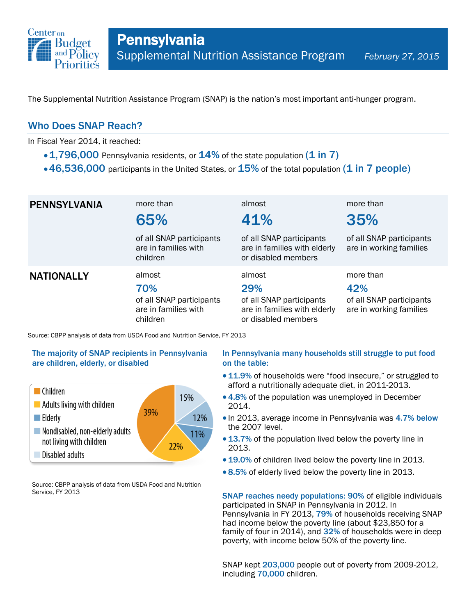

The Supplemental Nutrition Assistance Program (SNAP) is the nation's most important anti-hunger program.

## Who Does SNAP Reach?

In Fiscal Year 2014, it reached:

- $\cdot$  1,796,000 Pennsylvania residents, or  $14\%$  of the state population (1 in 7)
- $\cdot$  46,536,000 participants in the United States, or  $15\%$  of the total population (1 in 7 people)

| <b>PENNSYLVANIA</b> | more than<br>65%                                                              | almost<br>41%                                                                                    | more than<br>35%                                                        |
|---------------------|-------------------------------------------------------------------------------|--------------------------------------------------------------------------------------------------|-------------------------------------------------------------------------|
|                     | of all SNAP participants<br>are in families with<br>children                  | of all SNAP participants<br>are in families with elderly<br>or disabled members                  | of all SNAP participants<br>are in working families                     |
| <b>NATIONALLY</b>   | almost<br>70%<br>of all SNAP participants<br>are in families with<br>children | almost<br>29%<br>of all SNAP participants<br>are in families with elderly<br>or disabled members | more than<br>42%<br>of all SNAP participants<br>are in working families |

Source: CBPP analysis of data from USDA Food and Nutrition Service, FY 2013

### The majority of SNAP recipients in Pennsylvania are children, elderly, or disabled



Source: CBPP analysis of data from USDA Food and Nutrition Service, FY 2013

#### In Pennsylvania many households still struggle to put food on the table:

- 11.9% of households were "food insecure," or struggled to afford a nutritionally adequate diet, in 2011-2013.
- 4.8% of the population was unemployed in December 2014.
- In 2013, average income in Pennsylvania was 4.7% below the 2007 level.
- 13.7% of the population lived below the poverty line in 2013.
- 19.0% of children lived below the poverty line in 2013.
- 8.5% of elderly lived below the poverty line in 2013.

SNAP reaches needy populations: 90% of eligible individuals participated in SNAP in Pennsylvania in 2012. In Pennsylvania in FY 2013, 79% of households receiving SNAP had income below the poverty line (about \$23,850 for a family of four in 2014), and 32% of households were in deep poverty, with income below 50% of the poverty line.

SNAP kept 203,000 people out of poverty from 2009-2012, including 70,000 children.